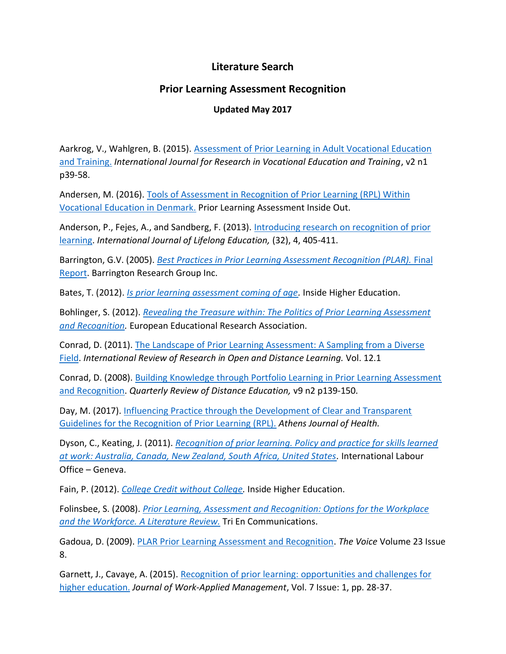## **Literature Search**

## **Prior Learning Assessment Recognition**

## **Updated May 2017**

Aarkrog, V., Wahlgren, B. (2015). Assessment [of Prior Learning in Adult Vocational Education](http://nck.au.dk/fileadmin/nck/Publikationer/Assessment_of_prior_learning_in_adult_vocational_education_and_training.pdf)  [and Training.](http://nck.au.dk/fileadmin/nck/Publikationer/Assessment_of_prior_learning_in_adult_vocational_education_and_training.pdf) *International Journal for Research in Vocational Education and Training*, v2 n1 p39-58.

Andersen, M. (2016). [Tools of Assessment in Recognition of Prior Learning \(RPL\) Within](http://www.plaio.org/index.php/home/article/view/87)  [Vocational Education in Denmark.](http://www.plaio.org/index.php/home/article/view/87) Prior Learning Assessment Inside Out.

Anderson, P., Fejes, A., and Sandberg, F. (2013). [Introducing research on recognition of prior](http://www.tandfonline.com/doi/abs/10.1080/02601370.2013.778069?journal=&)  [learning.](http://www.tandfonline.com/doi/abs/10.1080/02601370.2013.778069?journal=&) *International Journal of Lifelong Education,* (32), 4, 405-411.

Barrington, G.V. (2005). *[Best Practices in Prior Learning Assessment Recognition \(PLAR\).](http://www.acat.gov.ab.ca/pdfs/PLAR_Final_Report_May_11_2005.pdf)* Final [Report.](http://www.acat.gov.ab.ca/pdfs/PLAR_Final_Report_May_11_2005.pdf) Barrington Research Group Inc.

Bates, T. (2012). *[Is prior learning assessment coming of age.](http://www.tonybates.ca/2012/11/12/is-prior-learning-assessment-coming-of-age/)* Inside Higher Education.

Bohlinger, S. (2012). *[Revealing the Treasure within: The Politics of Prior Learning Assessment](Literature%20Search%20-%20Prior%20Learning%20Assessment%20Recognition%20-%20Updated%20March%202015..docx)  [and Recognition.](Literature%20Search%20-%20Prior%20Learning%20Assessment%20Recognition%20-%20Updated%20March%202015..docx)* European Educational Research Association.

Conrad, D. (2011). [The Landscape of Prior Learning Assessment: A Sampling from a Diverse](http://www.irrodl.org/index.php/irrodl/article/view/973/1688)  [Field.](http://www.irrodl.org/index.php/irrodl/article/view/973/1688) *International Review of Research in Open and Distance Learning.* Vol. 12.1

Conrad, D. (2008). [Building Knowledge through Portfolio Learning in Prior Learning Assessment](http://eric.ed.gov/?id=EJ875093)  [and Recognition.](http://eric.ed.gov/?id=EJ875093) *Quarterly Review of Distance Education,* v9 n2 p139-150.

Day, M. (2017). [Influencing Practice through the Development of Clear and Transparent](https://www.athensjournals.gr/health/2017-4-1-2-Day.pdf)  [Guidelines for the Recognition of Prior Learning \(RPL\).](https://www.athensjournals.gr/health/2017-4-1-2-Day.pdf) *Athens Journal of Health.*

Dyson, C., Keating, J. (2011). *[Recognition of prior learning. Policy and practice for skills learned](http://www.ilo.org/skills/pubs/WCMS_103874/lang--en/index.htm)  [at work: Australia, Canada, New Zealand, South Africa, United States.](http://www.ilo.org/skills/pubs/WCMS_103874/lang--en/index.htm)* International Labour Office – Geneva.

Fain, P. (2012). *[College Credit without College.](https://www.insidehighered.com/news/2012/05/07/prior-learning-assessment-catches-quietly)* Inside Higher Education.

Folinsbee, S. (2008). *[Prior Learning, Assessment and Recognition: Options for the Workplace](http://wplar.ca/sites/default/files/Industry_Plar_Lit_Review_August%202008.pdf)  [and the Workforce. A Literature Review.](http://wplar.ca/sites/default/files/Industry_Plar_Lit_Review_August%202008.pdf)* Tri En Communications.

Gadoua, D. (2009). [PLAR Prior Learning Assessment and Recognition.](https://www.voicemagazine.org/archives/articledisplay.php?ART=6851&issue=17) *The Voice* Volume 23 Issue 8.

Garnett, J., Cavaye, A. (2015). [Recognition of prior learning: opportunities and challenges for](http://www.emeraldinsight.com/doi/full/10.1108/JWAM-10-2015-001)  [higher education.](http://www.emeraldinsight.com/doi/full/10.1108/JWAM-10-2015-001) *Journal of Work-Applied Management*, Vol. 7 Issue: 1, pp. 28-37.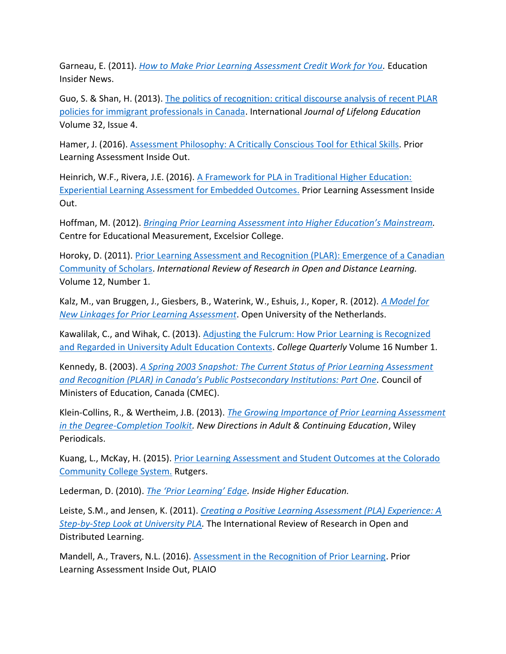Garneau, E. (2011). *[How to Make Prior Learning Assessment Credit Work for You.](http://study.com/articles/Putting_PLA_Credit_to_Good_Use.html)* Education Insider News.

Guo, S. & Shan, H. (2013). [The politics of recognition: critical discourse analysis of recent PLAR](http://www.tandfonline.com/doi/abs/10.1080/02601370.2013.778073)  [policies for immigrant professionals in Canada.](http://www.tandfonline.com/doi/abs/10.1080/02601370.2013.778073) International *Journal of Lifelong Education*  Volume 32, Issue 4.

Hamer, J. (2016). [Assessment Philosophy: A Critically Conscious](http://www.plaio.org/index.php/home/article/view/100) Tool for Ethical Skills. Prior Learning Assessment Inside Out.

Heinrich, W.F., Rivera, J.E. (2016). [A Framework for PLA in Traditional Higher Education:](http://www.plaio.org/index.php/home/article/view/91)  [Experiential Learning Assessment for Embedded Outcomes.](http://www.plaio.org/index.php/home/article/view/91) Prior Learning Assessment Inside Out.

Hoffman, M. (2012). *[Bringing Prior Learning Assessment into Higher Education's Main](http://evolllution.com/opinions/bringing-prior-learning-assessment-higher-educations-mainstream/)stream.* Centre for Educational Measurement, Excelsior College.

Horoky, D. (2011). [Prior Learning Assessment and Recognition \(PLAR\): Emergence of a Canadian](https://www.lib.uwo.ca/blogs/education/2011/04/)  [Community of Scholars.](https://www.lib.uwo.ca/blogs/education/2011/04/) *International Review of Research in Open and Distance Learning.* Volume 12, Number 1.

Kalz, M., van Bruggen, J., Giesbers, B., Waterink, W., Eshuis, J., Koper, R. (2012). *[A Model for](http://eric.ed.gov/?id=EJ813129)  [New Linkages for Prior Learning Assessment](http://eric.ed.gov/?id=EJ813129)*. Open University of the Netherlands.

Kawalilak, C., and Wihak, C. (2013). [Adjusting the Fulcrum: How Prior Learning is Recognized](http://collegequarterly.ca/2013-vol16-num01-winter/kawalilak-wihak.html) [and Regarded in University Adult Education Contexts.](http://collegequarterly.ca/2013-vol16-num01-winter/kawalilak-wihak.html) *College Quarterly* Volume 16 Number 1.

Kennedy, B. (2003). *[A Spring 2003 Snapshot: The Current Status of Prior Learning Assessment](http://www.cmec.ca/publications/lists/publications/attachments/56/capla-plar2003.en.pdf)  and [Recognition \(PLAR\) in Canada's Public Postsecondary Institutions: Part One](http://www.cmec.ca/publications/lists/publications/attachments/56/capla-plar2003.en.pdf).* Council of Ministers of Education, Canada (CMEC).

Klein-Collins, R., & Wertheim, J.B. (2013). *The Growing Importance [of Prior Learning Assessment](http://www.cael.org/pdfs/future-of-pla-article)  [in the Degree-Completion Toolkit.](http://www.cael.org/pdfs/future-of-pla-article) New Directions in Adult & Continuing Education*, Wiley Periodicals.

Kuang, L., McKay, H. (2015). [Prior Learning Assessment and Student Outcomes at the Colorado](http://smlr.rutgers.edu/sites/smlr.rutgers.edu/files/documents/PLA%20Baseline%20Report%20FINAL%202-4-16.pdf)  [Community College System.](http://smlr.rutgers.edu/sites/smlr.rutgers.edu/files/documents/PLA%20Baseline%20Report%20FINAL%202-4-16.pdf) Rutgers.

Lederman, D. (2010). *[The 'Prior Learning' Edge](https://www.insidehighered.com/news/2010/03/01/prior). Inside Higher Education.*

Leiste, S.M., and Jensen, K. (2011). *[Creating a Positive Learning Assessment \(PLA\) Experience: A](http://www.irrodl.org/index.php/irrodl/article/viewArticle/898/1690)  [Step-by-Step Look at University PLA.](http://www.irrodl.org/index.php/irrodl/article/viewArticle/898/1690)* The International Review of Research in Open and Distributed Learning.

Mandell, A., Travers, N.L. (2016). [Assessment in the Recognition of Prior Learning.](http://www.plaio.org/index.php/home) Prior Learning Assessment Inside Out, PLAIO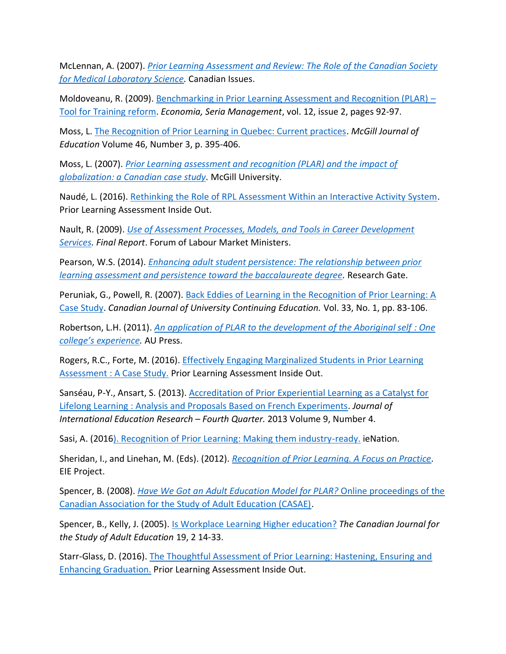McLennan, A. (2007). *[Prior Learning Assessment and Review: The Role of the Canadian Society](http://connection.ebscohost.com/c/articles/27879678/prior-learning-assessment-review-role-canadian-society-medical-laboratory-science)  [for Medical Laboratory Science.](http://connection.ebscohost.com/c/articles/27879678/prior-learning-assessment-review-role-canadian-society-medical-laboratory-science)* Canadian Issues.

Moldoveanu, R. (2009). [Benchmarking in Prior Learning Assessment and Recognition \(PLAR\)](http://www.jourlib.org/paper/2041940#.Vlhznr_LkgU) – [Tool for Training reform.](http://www.jourlib.org/paper/2041940#.Vlhznr_LkgU) *Economia, Seria Management*, vol. 12, issue 2, pages 92-97.

Moss, L. [The Recognition of Prior Learning in Quebec: Current practices.](http://www.erudit.org/revue/mje/2011/v46/n3/1009173ar.pdf) *McGill Journal of Education* Volume 46, Number 3, p. 395-406.

Moss, L. (2007). *[Prior Learning assessment and recognition \(PLAR\) and the impact of](http://digitool.library.mcgill.ca/R/?func=dbin-jump-full&object_id=113825&local_base=GEN01-MCG02)  [globalization: a Canadian case study.](http://digitool.library.mcgill.ca/R/?func=dbin-jump-full&object_id=113825&local_base=GEN01-MCG02)* McGill University.

Naudé, L. (2016). [Rethinking the Role of RPL Assessment Within an Interactive Activity System.](http://www.plaio.org/index.php/home/article/view/101) Prior Learning Assessment Inside Out.

Nault, R. (2009). *[Use of Assessment Processes, Models, and Tools in Career Development](http://www.flmm-fmmt.ca/CMFiles/FLMM%20Archive%20-%20Document%20Archive/Use%20of%20Assesment%20Process%20Models%20and%20Tools/Assessment%20Project%20Final%20Report.pdf)  [Services.](http://www.flmm-fmmt.ca/CMFiles/FLMM%20Archive%20-%20Document%20Archive/Use%20of%20Assesment%20Process%20Models%20and%20Tools/Assessment%20Project%20Final%20Report.pdf) Final Report*. Forum of Labour Market Ministers.

Pearson, W.S. (2014). *[Enhancing adult student persistence: The relationship between prior](http://ldms.oum.edu.my/oumlib/sites/default/files/file_attachments/odl-resources/4463/enhancing-adult-student.pdf)  [learning assessment and persistence toward the baccalaureate degree.](http://ldms.oum.edu.my/oumlib/sites/default/files/file_attachments/odl-resources/4463/enhancing-adult-student.pdf)* Research Gate.

Peruniak, G., Powell, R. (2007). [Back Eddies of Learning in the Recognition of Prior Learning: A](http://www.editlib.org/p/105595/)  [Case Study.](http://www.editlib.org/p/105595/) *Canadian Journal of University Continuing Education.* Vol. 33, No. 1, pp. 83-106.

Robertson, L.H. (2011). *[An application of PLAR to the development of the Aboriginal self](http://www.irrodl.org/index.php/irrodl/article/view/1029) : One [college's experience](http://www.irrodl.org/index.php/irrodl/article/view/1029).* AU Press.

Rogers, R.C., Forte, M. (2016). [Effectively Engaging Marginalized Students in Prior Learning](http://www.plaio.org/index.php/home/article/view/91)  Assessment [: A Case Study.](http://www.plaio.org/index.php/home/article/view/91) Prior Learning Assessment Inside Out.

Sanséau, P-Y., Ansart, S. (2013)[. Accreditation of Prior Experiential Learning as a Catalyst for](http://www.cluteinstitute.com/ojs/index.php/JIER/article/viewFile/8083/8136)  Lifelong Learning [: Analysis and Proposals Based on French Experiments.](http://www.cluteinstitute.com/ojs/index.php/JIER/article/viewFile/8083/8136) *Journal of International Education Research – Fourth Quarter.* 2013 Volume 9, Number 4.

Sasi, A. (201[6\). Recognition of Prior Learning: Making them industry-ready.](http://indianexpress.com/article/india/india-news-india/recognition-of-prior-learning-making-them-industry-ready/) ieNation.

Sheridan, I., and Linehan, M. (Eds). (2012). *[Recognition of Prior Learning. A Focus on Practice.](http://extendedcampus.cit.ie/contentfiles/REAP%20publications/recognition-of-prior-learning-a-focus-on-practice.pdf)* EIE Project.

Spencer, B. (2008). *Have We Got an [Adult Education Model for PLAR?](http://auspace.athabascau.ca/handle/2149/1794)* Online proceedings of the [Canadian Association for the Study of Adult Education \(CASAE\).](http://auspace.athabascau.ca/handle/2149/1794)

Spencer, B., Kelly, J. (2005). [Is Workplace Learning Higher education?](http://journals.msvu.ca/index.php/cjsae/article/viewFile/2586/2268) *The Canadian Journal for the Study of Adult Education* 19, 2 14-33.

Starr-Glass, D. (2016). [The Thoughtful Assessment of Prior Learning: Hastening, Ensuring and](http://www.plaio.org/index.php/home/article/view/90)  [Enhancing Graduation.](http://www.plaio.org/index.php/home/article/view/90) Prior Learning Assessment Inside Out.